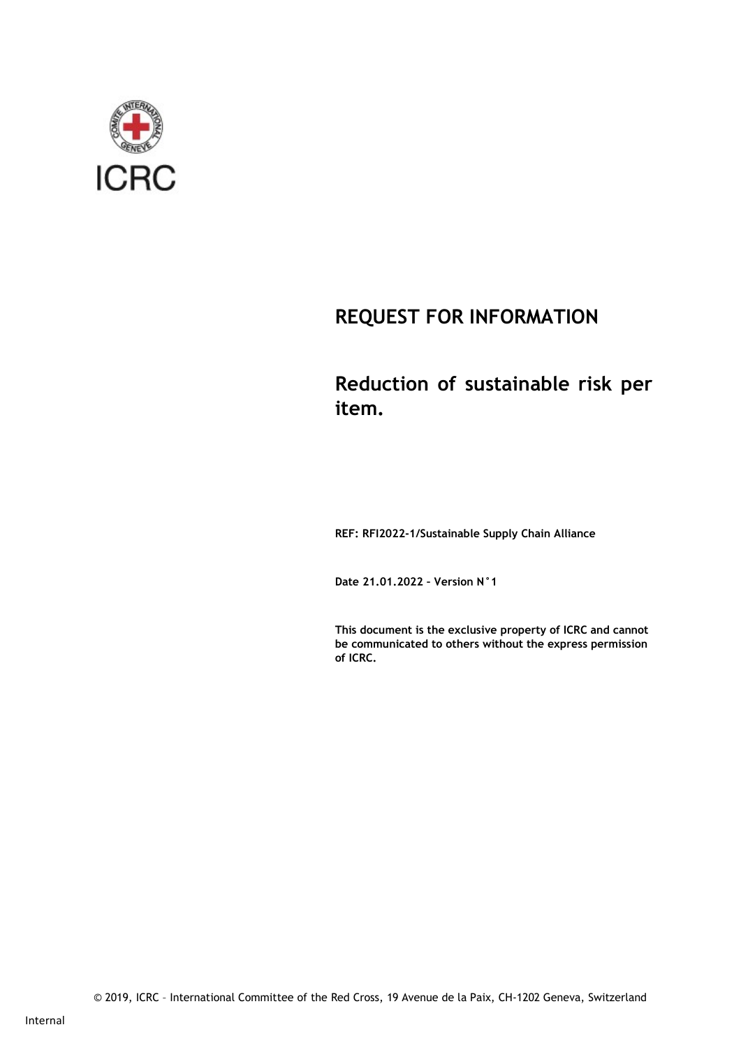

## REQUEST FOR INFORMATION

## Reduction of sustainable risk per item.

REF: RFI2022-1/Sustainable Supply Chain Alliance

Date 21.01.2022 – Version N°1

This document is the exclusive property of ICRC and cannot be communicated to others without the express permission of ICRC.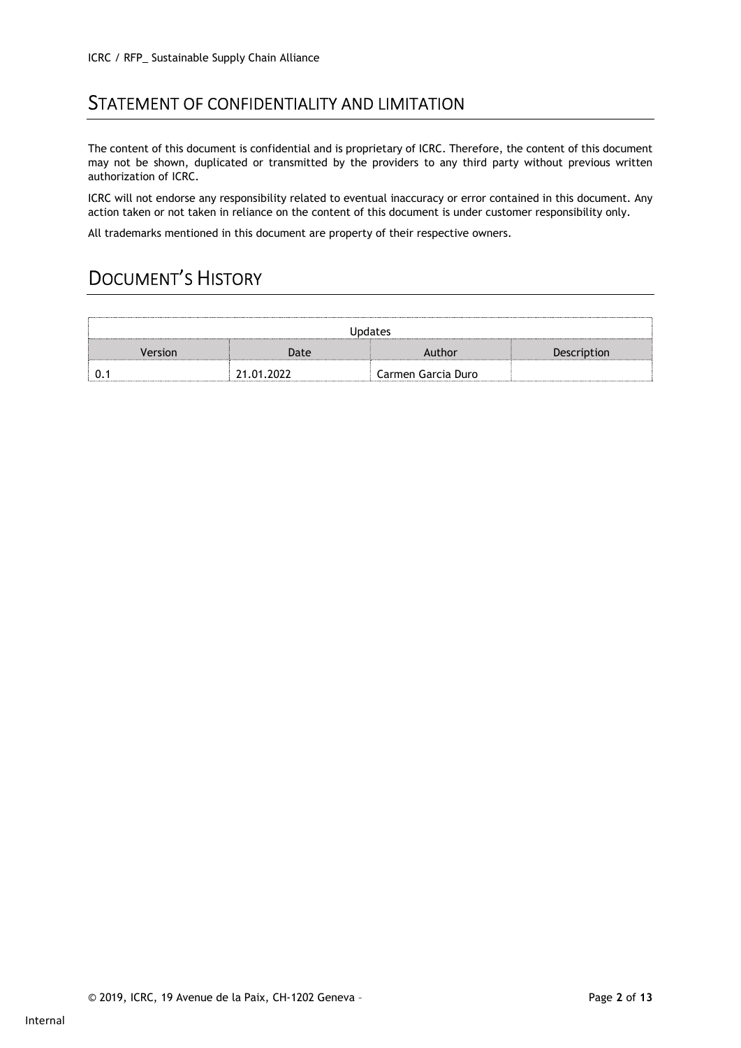### STATEMENT OF CONFIDENTIALITY AND LIMITATION

The content of this document is confidential and is proprietary of ICRC. Therefore, the content of this document may not be shown, duplicated or transmitted by the providers to any third party without previous written authorization of ICRC.

ICRC will not endorse any responsibility related to eventual inaccuracy or error contained in this document. Any action taken or not taken in reliance on the content of this document is under customer responsibility only.

All trademarks mentioned in this document are property of their respective owners.

## DOCUMENT'S HISTORY

| <b>Updates</b> |            |                    |             |  |
|----------------|------------|--------------------|-------------|--|
| Version        | Date       | Author             | Description |  |
|                | 21.01.2022 | Carmen Garcia Duro |             |  |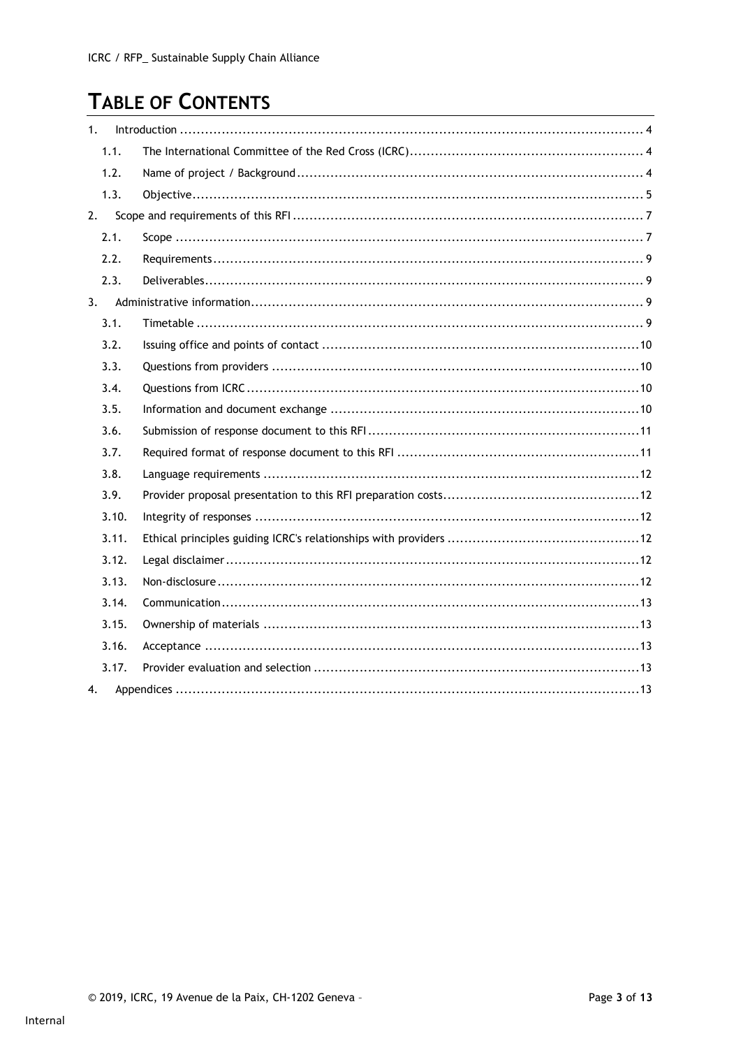# **TABLE OF CONTENTS**

| 1.    |  |
|-------|--|
| 1.1.  |  |
| 1.2.  |  |
| 1.3.  |  |
| 2.    |  |
| 2.1.  |  |
| 2.2.  |  |
| 2.3.  |  |
| 3.    |  |
| 3.1.  |  |
| 3.2.  |  |
| 3.3.  |  |
| 3.4.  |  |
| 3.5.  |  |
| 3.6.  |  |
| 3.7.  |  |
| 3.8.  |  |
| 3.9.  |  |
| 3.10. |  |
| 3.11. |  |
| 3.12. |  |
| 3.13. |  |
| 3.14. |  |
| 3.15. |  |
| 3.16. |  |
| 3.17. |  |
| 4.    |  |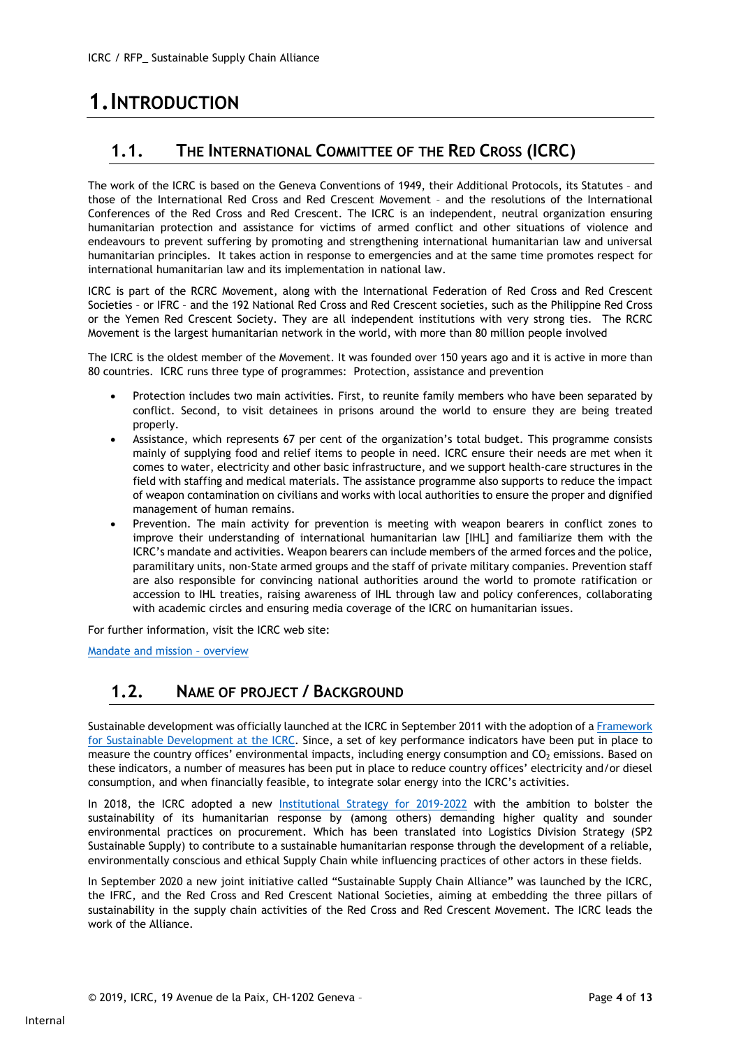# 1.INTRODUCTION

### 1.1. THE INTERNATIONAL COMMITTEE OF THE RED CROSS (ICRC)

The work of the ICRC is based on the Geneva Conventions of 1949, their Additional Protocols, its Statutes – and those of the International Red Cross and Red Crescent Movement – and the resolutions of the International Conferences of the Red Cross and Red Crescent. The ICRC is an independent, neutral organization ensuring humanitarian protection and assistance for victims of armed conflict and other situations of violence and endeavours to prevent suffering by promoting and strengthening international humanitarian law and universal humanitarian principles. It takes action in response to emergencies and at the same time promotes respect for international humanitarian law and its implementation in national law.

ICRC is part of the RCRC Movement, along with the International Federation of Red Cross and Red Crescent Societies – or IFRC – and the 192 National Red Cross and Red Crescent societies, such as the Philippine Red Cross or the Yemen Red Crescent Society. They are all independent institutions with very strong ties. The RCRC Movement is the largest humanitarian network in the world, with more than 80 million people involved

The ICRC is the oldest member of the Movement. It was founded over 150 years ago and it is active in more than 80 countries. ICRC runs three type of programmes: Protection, assistance and prevention

- Protection includes two main activities. First, to reunite family members who have been separated by conflict. Second, to visit detainees in prisons around the world to ensure they are being treated properly.
- Assistance, which represents 67 per cent of the organization's total budget. This programme consists mainly of supplying food and relief items to people in need. ICRC ensure their needs are met when it comes to water, electricity and other basic infrastructure, and we support health-care structures in the field with staffing and medical materials. The assistance programme also supports to reduce the impact of weapon contamination on civilians and works with local authorities to ensure the proper and dignified management of human remains.
- Prevention. The main activity for prevention is meeting with weapon bearers in conflict zones to improve their understanding of international humanitarian law [IHL] and familiarize them with the ICRC's mandate and activities. Weapon bearers can include members of the armed forces and the police, paramilitary units, non-State armed groups and the staff of private military companies. Prevention staff are also responsible for convincing national authorities around the world to promote ratification or accession to IHL treaties, raising awareness of IHL through law and policy conferences, collaborating with academic circles and ensuring media coverage of the ICRC on humanitarian issues.

For further information, visit the ICRC web site:

Mandate and mission – overview

### 1.2. NAME OF PROJECT / BACKGROUND

Sustainable development was officially launched at the ICRC in September 2011 with the adoption of a Framework for Sustainable Development at the ICRC. Since, a set of key performance indicators have been put in place to measure the country offices' environmental impacts, including energy consumption and CO<sub>2</sub> emissions. Based on these indicators, a number of measures has been put in place to reduce country offices' electricity and/or diesel consumption, and when financially feasible, to integrate solar energy into the ICRC's activities.

In 2018, the ICRC adopted a new Institutional Strategy for 2019-2022 with the ambition to bolster the sustainability of its humanitarian response by (among others) demanding higher quality and sounder environmental practices on procurement. Which has been translated into Logistics Division Strategy (SP2 Sustainable Supply) to contribute to a sustainable humanitarian response through the development of a reliable, environmentally conscious and ethical Supply Chain while influencing practices of other actors in these fields.

In September 2020 a new joint initiative called "Sustainable Supply Chain Alliance" was launched by the ICRC, the IFRC, and the Red Cross and Red Crescent National Societies, aiming at embedding the three pillars of sustainability in the supply chain activities of the Red Cross and Red Crescent Movement. The ICRC leads the work of the Alliance.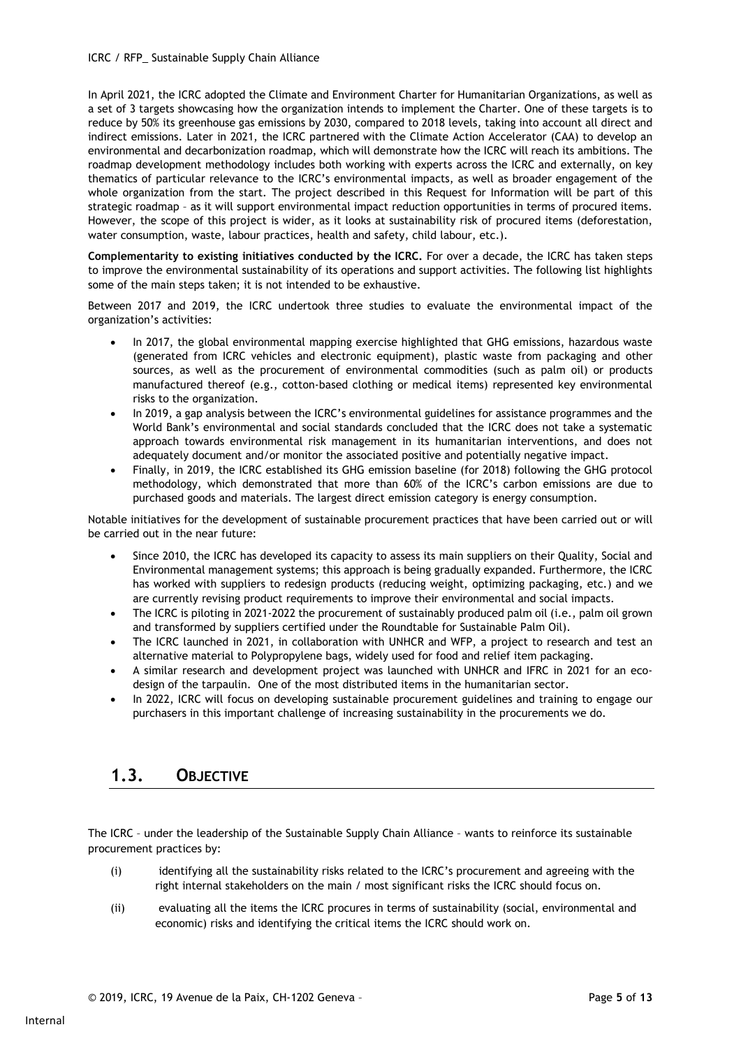#### ICRC / RFP\_ Sustainable Supply Chain Alliance

In April 2021, the ICRC adopted the Climate and Environment Charter for Humanitarian Organizations, as well as a set of 3 targets showcasing how the organization intends to implement the Charter. One of these targets is to reduce by 50% its greenhouse gas emissions by 2030, compared to 2018 levels, taking into account all direct and indirect emissions. Later in 2021, the ICRC partnered with the Climate Action Accelerator (CAA) to develop an environmental and decarbonization roadmap, which will demonstrate how the ICRC will reach its ambitions. The roadmap development methodology includes both working with experts across the ICRC and externally, on key thematics of particular relevance to the ICRC's environmental impacts, as well as broader engagement of the whole organization from the start. The project described in this Request for Information will be part of this strategic roadmap – as it will support environmental impact reduction opportunities in terms of procured items. However, the scope of this project is wider, as it looks at sustainability risk of procured items (deforestation, water consumption, waste, labour practices, health and safety, child labour, etc.).

Complementarity to existing initiatives conducted by the ICRC. For over a decade, the ICRC has taken steps to improve the environmental sustainability of its operations and support activities. The following list highlights some of the main steps taken; it is not intended to be exhaustive.

Between 2017 and 2019, the ICRC undertook three studies to evaluate the environmental impact of the organization's activities:

- In 2017, the global environmental mapping exercise highlighted that GHG emissions, hazardous waste (generated from ICRC vehicles and electronic equipment), plastic waste from packaging and other sources, as well as the procurement of environmental commodities (such as palm oil) or products manufactured thereof (e.g., cotton-based clothing or medical items) represented key environmental risks to the organization.
- In 2019, a gap analysis between the ICRC's environmental guidelines for assistance programmes and the World Bank's environmental and social standards concluded that the ICRC does not take a systematic approach towards environmental risk management in its humanitarian interventions, and does not adequately document and/or monitor the associated positive and potentially negative impact.
- Finally, in 2019, the ICRC established its GHG emission baseline (for 2018) following the GHG protocol methodology, which demonstrated that more than 60% of the ICRC's carbon emissions are due to purchased goods and materials. The largest direct emission category is energy consumption.

Notable initiatives for the development of sustainable procurement practices that have been carried out or will be carried out in the near future:

- Since 2010, the ICRC has developed its capacity to assess its main suppliers on their Quality, Social and Environmental management systems; this approach is being gradually expanded. Furthermore, the ICRC has worked with suppliers to redesign products (reducing weight, optimizing packaging, etc.) and we are currently revising product requirements to improve their environmental and social impacts.
- The ICRC is piloting in 2021-2022 the procurement of sustainably produced palm oil (i.e., palm oil grown and transformed by suppliers certified under the Roundtable for Sustainable Palm Oil).
- The ICRC launched in 2021, in collaboration with UNHCR and WFP, a project to research and test an alternative material to Polypropylene bags, widely used for food and relief item packaging.
- A similar research and development project was launched with UNHCR and IFRC in 2021 for an ecodesign of the tarpaulin. One of the most distributed items in the humanitarian sector.
- In 2022, ICRC will focus on developing sustainable procurement guidelines and training to engage our purchasers in this important challenge of increasing sustainability in the procurements we do.

#### 1.3. OBJECTIVE

The ICRC – under the leadership of the Sustainable Supply Chain Alliance – wants to reinforce its sustainable procurement practices by:

- (i) identifying all the sustainability risks related to the ICRC's procurement and agreeing with the right internal stakeholders on the main / most significant risks the ICRC should focus on.
- (ii) evaluating all the items the ICRC procures in terms of sustainability (social, environmental and economic) risks and identifying the critical items the ICRC should work on.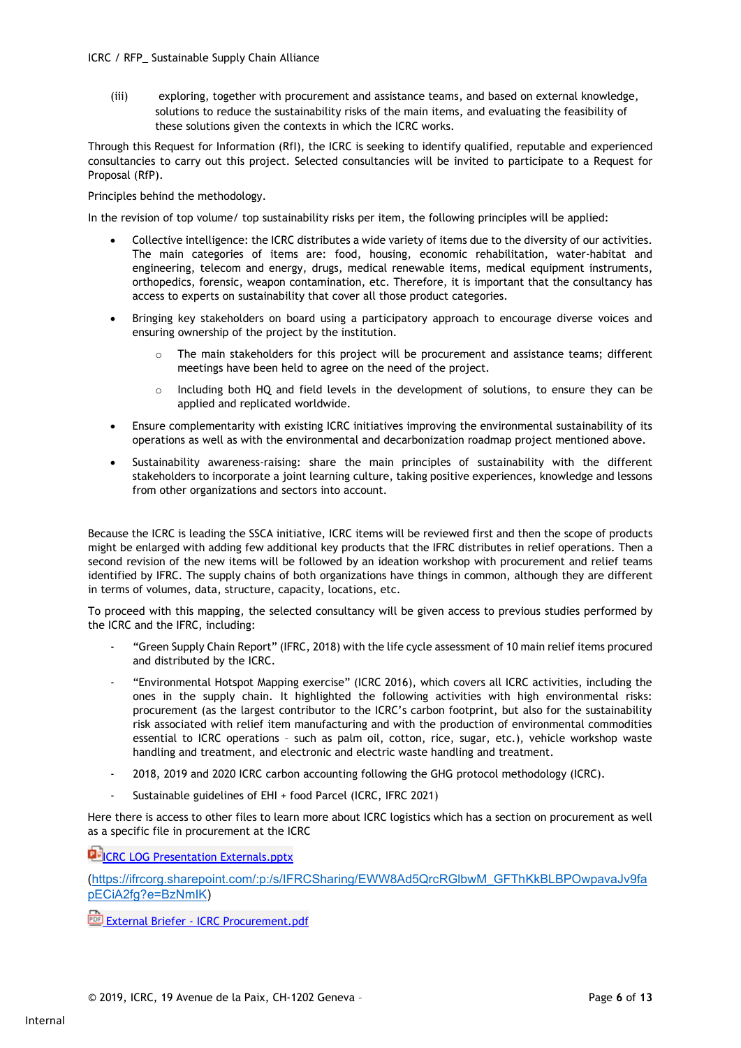(iii) exploring, together with procurement and assistance teams, and based on external knowledge, solutions to reduce the sustainability risks of the main items, and evaluating the feasibility of these solutions given the contexts in which the ICRC works.

Through this Request for Information (RfI), the ICRC is seeking to identify qualified, reputable and experienced consultancies to carry out this project. Selected consultancies will be invited to participate to a Request for Proposal (RfP).

Principles behind the methodology.

In the revision of top volume/ top sustainability risks per item, the following principles will be applied:

- Collective intelligence: the ICRC distributes a wide variety of items due to the diversity of our activities. The main categories of items are: food, housing, economic rehabilitation, water-habitat and engineering, telecom and energy, drugs, medical renewable items, medical equipment instruments, orthopedics, forensic, weapon contamination, etc. Therefore, it is important that the consultancy has access to experts on sustainability that cover all those product categories.
- Bringing key stakeholders on board using a participatory approach to encourage diverse voices and ensuring ownership of the project by the institution.
	- o The main stakeholders for this project will be procurement and assistance teams; different meetings have been held to agree on the need of the project.
	- $\circ$  Including both HQ and field levels in the development of solutions, to ensure they can be applied and replicated worldwide.
- Ensure complementarity with existing ICRC initiatives improving the environmental sustainability of its operations as well as with the environmental and decarbonization roadmap project mentioned above.
- Sustainability awareness-raising: share the main principles of sustainability with the different stakeholders to incorporate a joint learning culture, taking positive experiences, knowledge and lessons from other organizations and sectors into account.

Because the ICRC is leading the SSCA initiative, ICRC items will be reviewed first and then the scope of products might be enlarged with adding few additional key products that the IFRC distributes in relief operations. Then a second revision of the new items will be followed by an ideation workshop with procurement and relief teams identified by IFRC. The supply chains of both organizations have things in common, although they are different in terms of volumes, data, structure, capacity, locations, etc.

To proceed with this mapping, the selected consultancy will be given access to previous studies performed by the ICRC and the IFRC, including:

- "Green Supply Chain Report" (IFRC, 2018) with the life cycle assessment of 10 main relief items procured and distributed by the ICRC.
- "Environmental Hotspot Mapping exercise" (ICRC 2016), which covers all ICRC activities, including the ones in the supply chain. It highlighted the following activities with high environmental risks: procurement (as the largest contributor to the ICRC's carbon footprint, but also for the sustainability risk associated with relief item manufacturing and with the production of environmental commodities essential to ICRC operations – such as palm oil, cotton, rice, sugar, etc.), vehicle workshop waste handling and treatment, and electronic and electric waste handling and treatment.
- 2018, 2019 and 2020 ICRC carbon accounting following the GHG protocol methodology (ICRC).
- Sustainable guidelines of EHI + food Parcel (ICRC, IFRC 2021)

Here there is access to other files to learn more about ICRC logistics which has a section on procurement as well as a specific file in procurement at the ICRC

**DEICRC LOG Presentation Externals.pptx** 

(https://ifrcorg.sharepoint.com/:p:/s/IFRCSharing/EWW8Ad5QrcRGlbwM\_GFThKkBLBPOwpavaJv9fa pECiA2fg?e=BzNmIK)

**External Briefer - ICRC Procurement.pdf**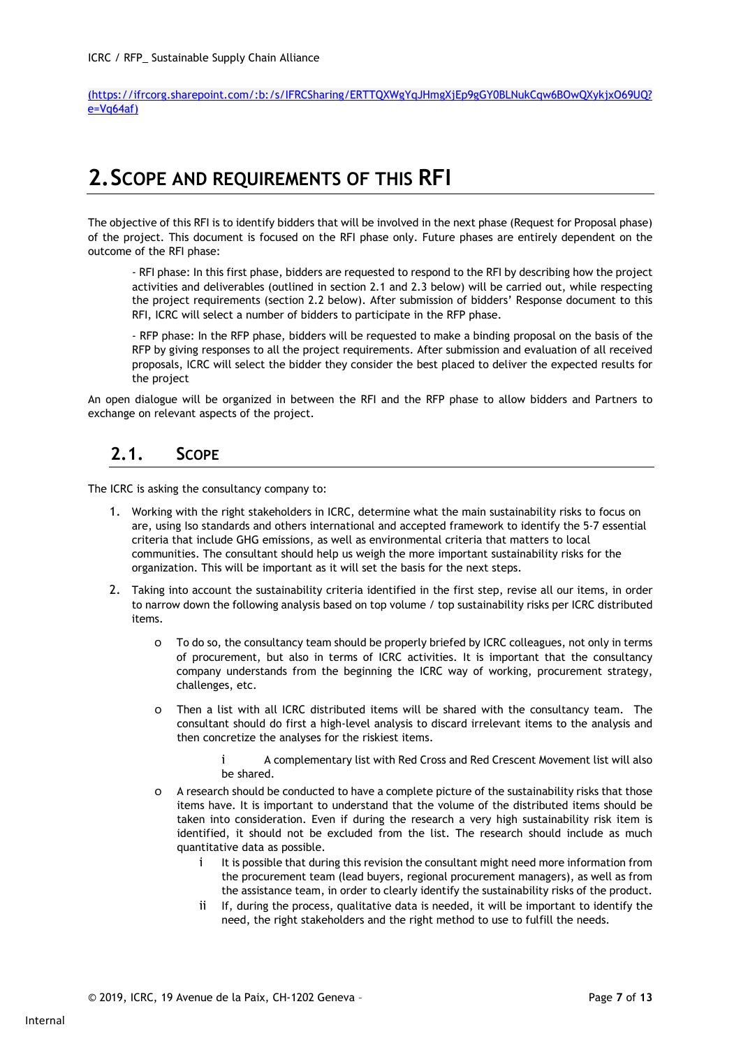(https://ifrcorg.sharepoint.com/:b:/s/IFRCSharing/ERTTQXWgYqJHmgXjEp9gGY0BLNukCqw6BOwQXykjxO69UQ? e=Vq64af)

## 2.SCOPE AND REQUIREMENTS OF THIS RFI

The objective of this RFI is to identify bidders that will be involved in the next phase (Request for Proposal phase) of the project. This document is focused on the RFI phase only. Future phases are entirely dependent on the outcome of the RFI phase:

- RFI phase: In this first phase, bidders are requested to respond to the RFI by describing how the project activities and deliverables (outlined in section 2.1 and 2.3 below) will be carried out, while respecting the project requirements (section 2.2 below). After submission of bidders' Response document to this RFI, ICRC will select a number of bidders to participate in the RFP phase.

- RFP phase: In the RFP phase, bidders will be requested to make a binding proposal on the basis of the RFP by giving responses to all the project requirements. After submission and evaluation of all received proposals, ICRC will select the bidder they consider the best placed to deliver the expected results for the project

An open dialogue will be organized in between the RFI and the RFP phase to allow bidders and Partners to exchange on relevant aspects of the project.

#### 2.1. SCOPE

The ICRC is asking the consultancy company to:

- 1. Working with the right stakeholders in ICRC, determine what the main sustainability risks to focus on are, using Iso standards and others international and accepted framework to identify the 5-7 essential criteria that include GHG emissions, as well as environmental criteria that matters to local communities. The consultant should help us weigh the more important sustainability risks for the organization. This will be important as it will set the basis for the next steps.
- 2. Taking into account the sustainability criteria identified in the first step, revise all our items, in order to narrow down the following analysis based on top volume / top sustainability risks per ICRC distributed items.
	- o To do so, the consultancy team should be properly briefed by ICRC colleagues, not only in terms of procurement, but also in terms of ICRC activities. It is important that the consultancy company understands from the beginning the ICRC way of working, procurement strategy, challenges, etc.
	- o Then a list with all ICRC distributed items will be shared with the consultancy team. The consultant should do first a high-level analysis to discard irrelevant items to the analysis and then concretize the analyses for the riskiest items.
		- i A complementary list with Red Cross and Red Crescent Movement list will also be shared.
	- o A research should be conducted to have a complete picture of the sustainability risks that those items have. It is important to understand that the volume of the distributed items should be taken into consideration. Even if during the research a very high sustainability risk item is identified, it should not be excluded from the list. The research should include as much quantitative data as possible.
		- i It is possible that during this revision the consultant might need more information from the procurement team (lead buyers, regional procurement managers), as well as from the assistance team, in order to clearly identify the sustainability risks of the product.
		- ii If, during the process, qualitative data is needed, it will be important to identify the need, the right stakeholders and the right method to use to fulfill the needs.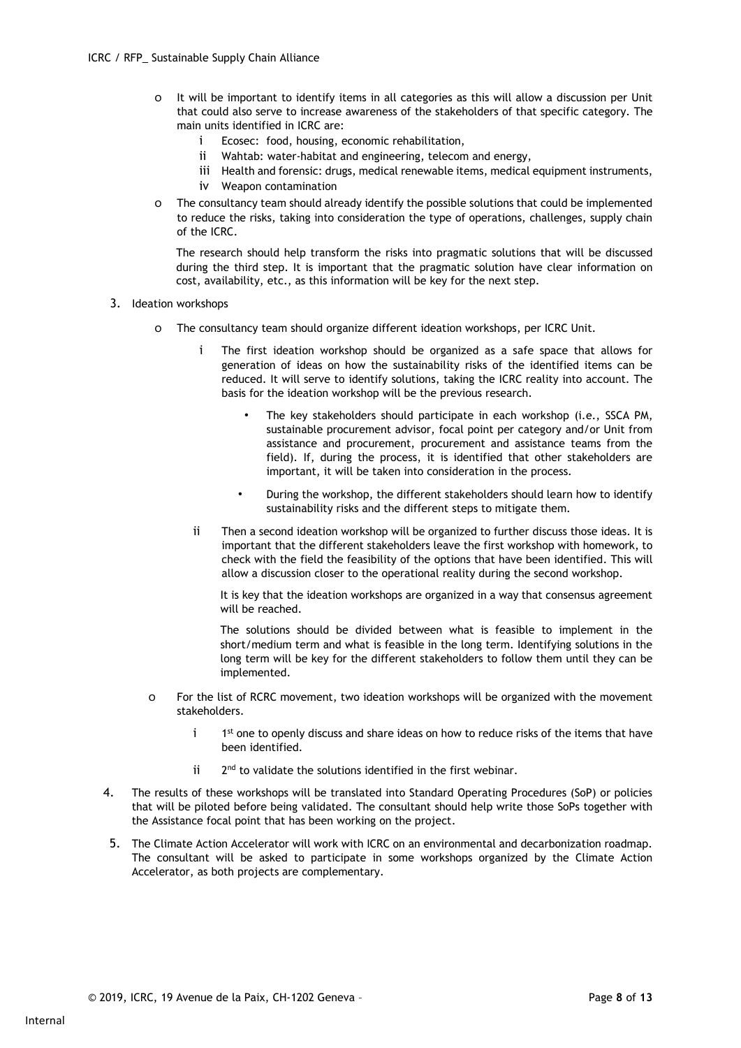- o It will be important to identify items in all categories as this will allow a discussion per Unit that could also serve to increase awareness of the stakeholders of that specific category. The main units identified in ICRC are:
	- i Ecosec: food, housing, economic rehabilitation,
	- ii Wahtab: water-habitat and engineering, telecom and energy,
	- iii Health and forensic: drugs, medical renewable items, medical equipment instruments,
	- iv Weapon contamination
- o The consultancy team should already identify the possible solutions that could be implemented to reduce the risks, taking into consideration the type of operations, challenges, supply chain of the ICRC.

The research should help transform the risks into pragmatic solutions that will be discussed during the third step. It is important that the pragmatic solution have clear information on cost, availability, etc., as this information will be key for the next step.

- 3. Ideation workshops
	- o The consultancy team should organize different ideation workshops, per ICRC Unit.
		- The first ideation workshop should be organized as a safe space that allows for generation of ideas on how the sustainability risks of the identified items can be reduced. It will serve to identify solutions, taking the ICRC reality into account. The basis for the ideation workshop will be the previous research.
			- The key stakeholders should participate in each workshop (i.e., SSCA PM, sustainable procurement advisor, focal point per category and/or Unit from assistance and procurement, procurement and assistance teams from the field). If, during the process, it is identified that other stakeholders are important, it will be taken into consideration in the process.
			- During the workshop, the different stakeholders should learn how to identify sustainability risks and the different steps to mitigate them.
		- ii Then a second ideation workshop will be organized to further discuss those ideas. It is important that the different stakeholders leave the first workshop with homework, to check with the field the feasibility of the options that have been identified. This will allow a discussion closer to the operational reality during the second workshop.

It is key that the ideation workshops are organized in a way that consensus agreement will be reached.

The solutions should be divided between what is feasible to implement in the short/medium term and what is feasible in the long term. Identifying solutions in the long term will be key for the different stakeholders to follow them until they can be implemented.

- o For the list of RCRC movement, two ideation workshops will be organized with the movement stakeholders.
	- $i$  1<sup>st</sup> one to openly discuss and share ideas on how to reduce risks of the items that have been identified.
	- $i$  2<sup>nd</sup> to validate the solutions identified in the first webinar.
- 4. The results of these workshops will be translated into Standard Operating Procedures (SoP) or policies that will be piloted before being validated. The consultant should help write those SoPs together with the Assistance focal point that has been working on the project.
- 5. The Climate Action Accelerator will work with ICRC on an environmental and decarbonization roadmap. The consultant will be asked to participate in some workshops organized by the Climate Action Accelerator, as both projects are complementary.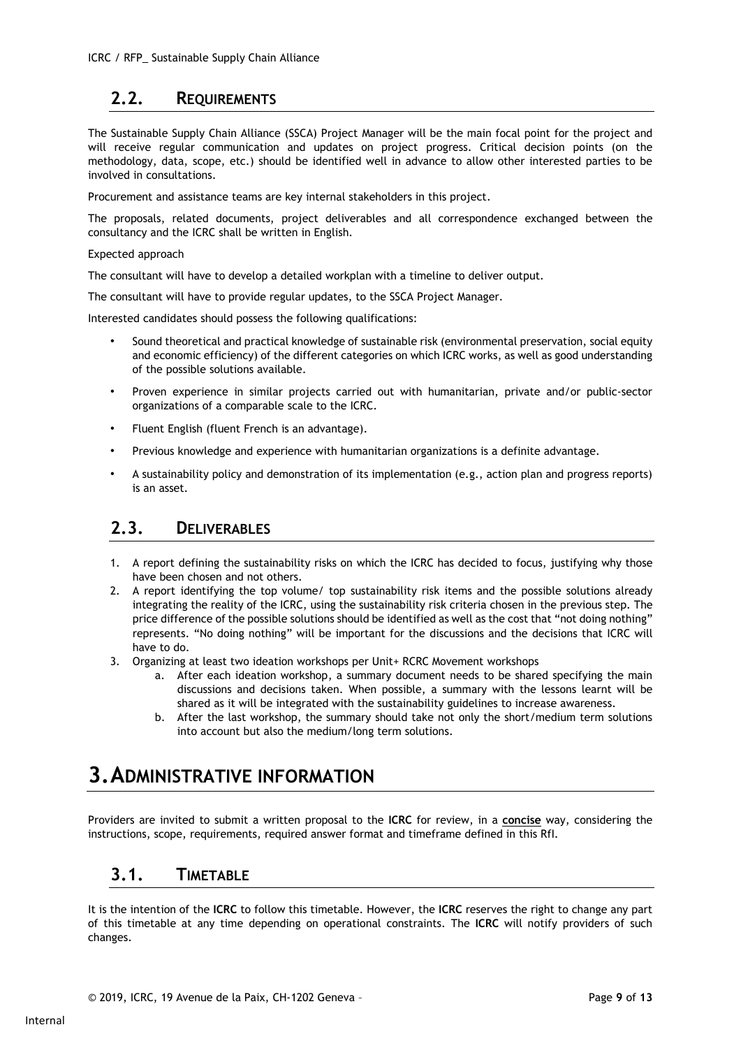### 2.2. REQUIREMENTS

The Sustainable Supply Chain Alliance (SSCA) Project Manager will be the main focal point for the project and will receive regular communication and updates on project progress. Critical decision points (on the methodology, data, scope, etc.) should be identified well in advance to allow other interested parties to be involved in consultations.

Procurement and assistance teams are key internal stakeholders in this project.

The proposals, related documents, project deliverables and all correspondence exchanged between the consultancy and the ICRC shall be written in English.

#### Expected approach

The consultant will have to develop a detailed workplan with a timeline to deliver output.

The consultant will have to provide regular updates, to the SSCA Project Manager.

Interested candidates should possess the following qualifications:

- Sound theoretical and practical knowledge of sustainable risk (environmental preservation, social equity and economic efficiency) of the different categories on which ICRC works, as well as good understanding of the possible solutions available.
- Proven experience in similar projects carried out with humanitarian, private and/or public-sector organizations of a comparable scale to the ICRC.
- Fluent English (fluent French is an advantage).
- Previous knowledge and experience with humanitarian organizations is a definite advantage.
- A sustainability policy and demonstration of its implementation (e.g., action plan and progress reports) is an asset.

#### 2.3. DELIVERABLES

- 1. A report defining the sustainability risks on which the ICRC has decided to focus, justifying why those have been chosen and not others.
- 2. A report identifying the top volume/ top sustainability risk items and the possible solutions already integrating the reality of the ICRC, using the sustainability risk criteria chosen in the previous step. The price difference of the possible solutions should be identified as well as the cost that "not doing nothing" represents. "No doing nothing" will be important for the discussions and the decisions that ICRC will have to do.
- 3. Organizing at least two ideation workshops per Unit+ RCRC Movement workshops
	- a. After each ideation workshop, a summary document needs to be shared specifying the main discussions and decisions taken. When possible, a summary with the lessons learnt will be shared as it will be integrated with the sustainability guidelines to increase awareness.
	- b. After the last workshop, the summary should take not only the short/medium term solutions into account but also the medium/long term solutions.

## 3.ADMINISTRATIVE INFORMATION

Providers are invited to submit a written proposal to the ICRC for review, in a concise way, considering the instructions, scope, requirements, required answer format and timeframe defined in this RfI.

#### 3.1. TIMETABLE

It is the intention of the ICRC to follow this timetable. However, the ICRC reserves the right to change any part of this timetable at any time depending on operational constraints. The ICRC will notify providers of such changes.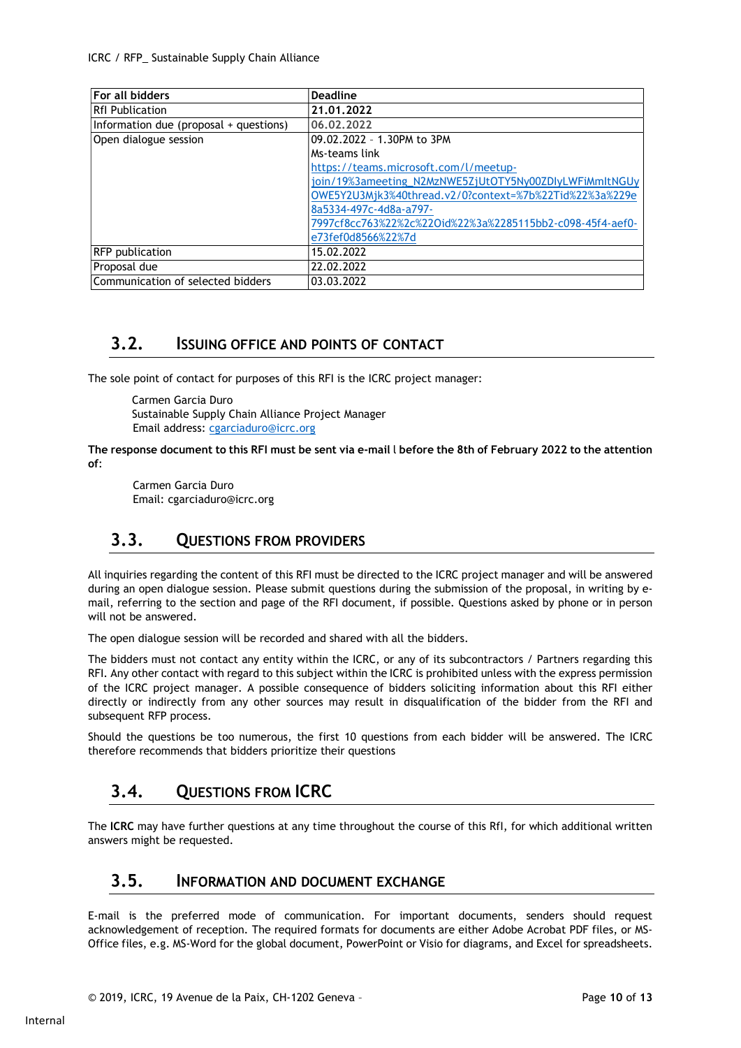| <b>For all bidders</b>                 | <b>Deadline</b>                                           |
|----------------------------------------|-----------------------------------------------------------|
| RfI Publication                        | 21.01.2022                                                |
| Information due (proposal + questions) | 06.02.2022                                                |
| Open dialogue session                  | 09.02.2022 - 1.30PM to 3PM                                |
|                                        | Ms-teams link                                             |
|                                        | https://teams.microsoft.com/l/meetup-                     |
|                                        | join/19%3ameeting_N2MzNWE5ZjUtOTY5Ny00ZDIyLWFiMmItNGUy    |
|                                        | OWE5Y2U3Mjk3%40thread.v2/0?context=%7b%22Tid%22%3a%229e   |
|                                        | 8a5334-497c-4d8a-a797-                                    |
|                                        | 7997cf8cc763%22%2c%22Oid%22%3a%2285115bb2-c098-45f4-aef0- |
|                                        | e73fef0d8566%22%7d                                        |
| <b>RFP</b> publication                 | 15.02.2022                                                |
| Proposal due                           | 22.02.2022                                                |
| Communication of selected bidders      | 03.03.2022                                                |

#### 3.2. ISSUING OFFICE AND POINTS OF CONTACT

The sole point of contact for purposes of this RFI is the ICRC project manager:

Carmen Garcia Duro Sustainable Supply Chain Alliance Project Manager Email address: cgarciaduro@icrc.org

The response document to this RFI must be sent via e-mail l before the 8th of February 2022 to the attention of:

Carmen Garcia Duro Email: cgarciaduro@icrc.org

#### 3.3. QUESTIONS FROM PROVIDERS

All inquiries regarding the content of this RFI must be directed to the ICRC project manager and will be answered during an open dialogue session. Please submit questions during the submission of the proposal, in writing by email, referring to the section and page of the RFI document, if possible. Questions asked by phone or in person will not be answered.

The open dialogue session will be recorded and shared with all the bidders.

The bidders must not contact any entity within the ICRC, or any of its subcontractors / Partners regarding this RFI. Any other contact with regard to this subject within the ICRC is prohibited unless with the express permission of the ICRC project manager. A possible consequence of bidders soliciting information about this RFI either directly or indirectly from any other sources may result in disqualification of the bidder from the RFI and subsequent RFP process.

Should the questions be too numerous, the first 10 questions from each bidder will be answered. The ICRC therefore recommends that bidders prioritize their questions

### 3.4. QUESTIONS FROM ICRC

The ICRC may have further questions at any time throughout the course of this RfI, for which additional written answers might be requested.

#### 3.5. INFORMATION AND DOCUMENT EXCHANGE

E-mail is the preferred mode of communication. For important documents, senders should request acknowledgement of reception. The required formats for documents are either Adobe Acrobat PDF files, or MS-Office files, e.g. MS-Word for the global document, PowerPoint or Visio for diagrams, and Excel for spreadsheets.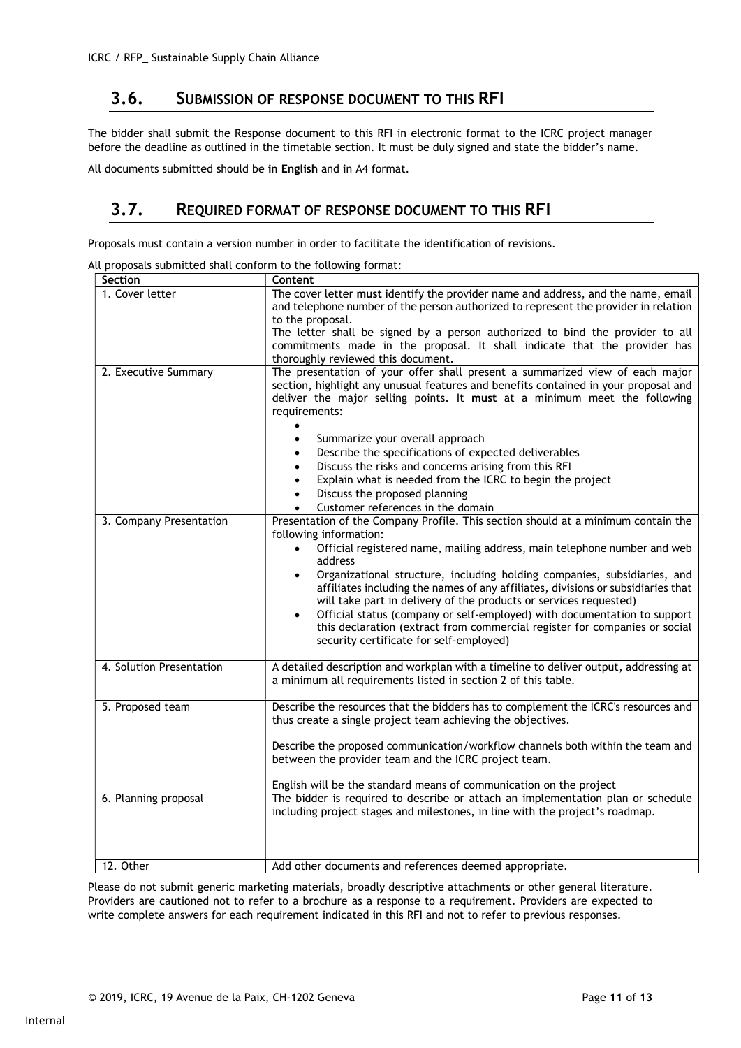#### 3.6. SUBMISSION OF RESPONSE DOCUMENT TO THIS RFI

The bidder shall submit the Response document to this RFI in electronic format to the ICRC project manager before the deadline as outlined in the timetable section. It must be duly signed and state the bidder's name.

All documents submitted should be in English and in A4 format.

#### 3.7. REQUIRED FORMAT OF RESPONSE DOCUMENT TO THIS RFI

Proposals must contain a version number in order to facilitate the identification of revisions.

| Section                  | Content                                                                                                                                                                                                                                                                                                                                                                                                                                                                                                                                                                                                                                                                             |
|--------------------------|-------------------------------------------------------------------------------------------------------------------------------------------------------------------------------------------------------------------------------------------------------------------------------------------------------------------------------------------------------------------------------------------------------------------------------------------------------------------------------------------------------------------------------------------------------------------------------------------------------------------------------------------------------------------------------------|
| 1. Cover letter          | The cover letter must identify the provider name and address, and the name, email<br>and telephone number of the person authorized to represent the provider in relation<br>to the proposal.<br>The letter shall be signed by a person authorized to bind the provider to all<br>commitments made in the proposal. It shall indicate that the provider has                                                                                                                                                                                                                                                                                                                          |
|                          | thoroughly reviewed this document.                                                                                                                                                                                                                                                                                                                                                                                                                                                                                                                                                                                                                                                  |
| 2. Executive Summary     | The presentation of your offer shall present a summarized view of each major<br>section, highlight any unusual features and benefits contained in your proposal and<br>deliver the major selling points. It must at a minimum meet the following<br>requirements:<br>Summarize your overall approach<br>$\bullet$<br>Describe the specifications of expected deliverables<br>$\bullet$<br>Discuss the risks and concerns arising from this RFI<br>$\bullet$<br>Explain what is needed from the ICRC to begin the project<br>$\bullet$<br>Discuss the proposed planning<br>$\bullet$                                                                                                 |
|                          | Customer references in the domain<br>$\bullet$                                                                                                                                                                                                                                                                                                                                                                                                                                                                                                                                                                                                                                      |
| 3. Company Presentation  | Presentation of the Company Profile. This section should at a minimum contain the<br>following information:<br>Official registered name, mailing address, main telephone number and web<br>$\bullet$<br>address<br>Organizational structure, including holding companies, subsidiaries, and<br>$\bullet$<br>affiliates including the names of any affiliates, divisions or subsidiaries that<br>will take part in delivery of the products or services requested)<br>Official status (company or self-employed) with documentation to support<br>$\bullet$<br>this declaration (extract from commercial register for companies or social<br>security certificate for self-employed) |
| 4. Solution Presentation | A detailed description and workplan with a timeline to deliver output, addressing at<br>a minimum all requirements listed in section 2 of this table.                                                                                                                                                                                                                                                                                                                                                                                                                                                                                                                               |
| 5. Proposed team         | Describe the resources that the bidders has to complement the ICRC's resources and<br>thus create a single project team achieving the objectives.<br>Describe the proposed communication/workflow channels both within the team and<br>between the provider team and the ICRC project team.<br>English will be the standard means of communication on the project                                                                                                                                                                                                                                                                                                                   |
| 6. Planning proposal     | The bidder is required to describe or attach an implementation plan or schedule<br>including project stages and milestones, in line with the project's roadmap.                                                                                                                                                                                                                                                                                                                                                                                                                                                                                                                     |
| 12. Other                | Add other documents and references deemed appropriate.                                                                                                                                                                                                                                                                                                                                                                                                                                                                                                                                                                                                                              |

All proposals submitted shall conform to the following format:

Please do not submit generic marketing materials, broadly descriptive attachments or other general literature. Providers are cautioned not to refer to a brochure as a response to a requirement. Providers are expected to write complete answers for each requirement indicated in this RFI and not to refer to previous responses.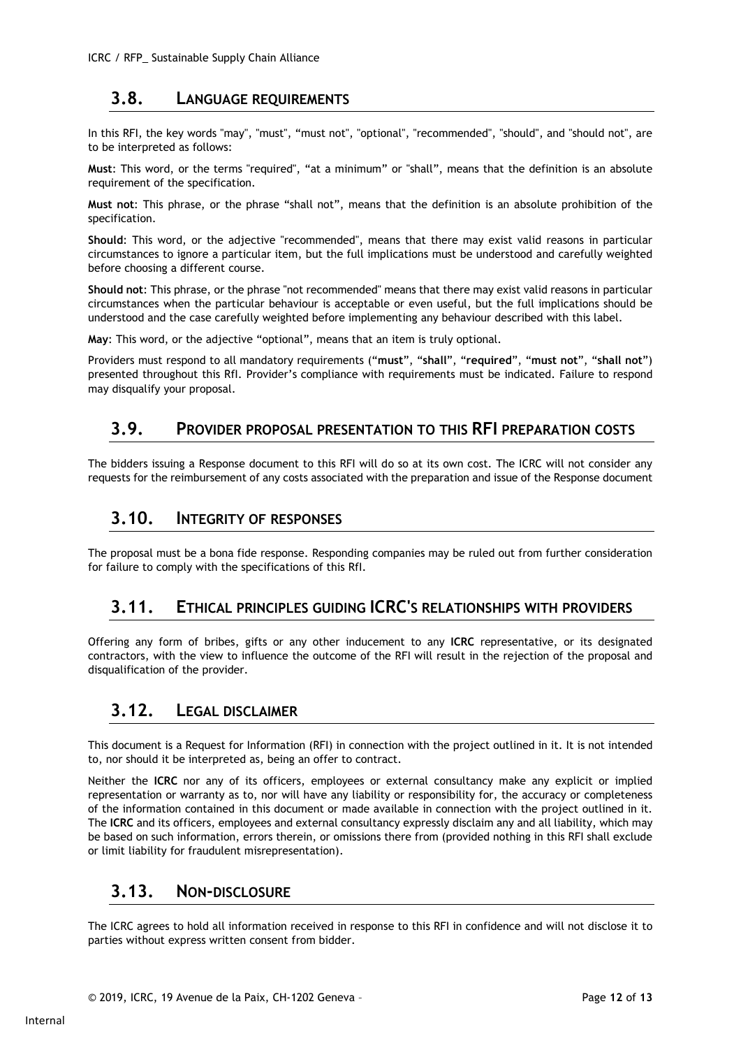#### 3.8. LANGUAGE REQUIREMENTS

In this RFI, the key words "may", "must", "must not", "optional", "recommended", "should", and "should not", are to be interpreted as follows:

Must: This word, or the terms "required", "at a minimum" or "shall", means that the definition is an absolute requirement of the specification.

Must not: This phrase, or the phrase "shall not", means that the definition is an absolute prohibition of the specification.

Should: This word, or the adjective "recommended", means that there may exist valid reasons in particular circumstances to ignore a particular item, but the full implications must be understood and carefully weighted before choosing a different course.

Should not: This phrase, or the phrase "not recommended" means that there may exist valid reasons in particular circumstances when the particular behaviour is acceptable or even useful, but the full implications should be understood and the case carefully weighted before implementing any behaviour described with this label.

May: This word, or the adjective "optional", means that an item is truly optional.

Providers must respond to all mandatory requirements ("must", "shall", "required", "must not", "shall not") presented throughout this RfI. Provider's compliance with requirements must be indicated. Failure to respond may disqualify your proposal.

#### 3.9. PROVIDER PROPOSAL PRESENTATION TO THIS RFI PREPARATION COSTS

The bidders issuing a Response document to this RFI will do so at its own cost. The ICRC will not consider any requests for the reimbursement of any costs associated with the preparation and issue of the Response document

### 3.10. INTEGRITY OF RESPONSES

The proposal must be a bona fide response. Responding companies may be ruled out from further consideration for failure to comply with the specifications of this RfI.

#### 3.11. ETHICAL PRINCIPLES GUIDING ICRC'S RELATIONSHIPS WITH PROVIDERS

Offering any form of bribes, gifts or any other inducement to any ICRC representative, or its designated contractors, with the view to influence the outcome of the RFI will result in the rejection of the proposal and disqualification of the provider.

#### 3.12. LEGAL DISCLAIMER

This document is a Request for Information (RFI) in connection with the project outlined in it. It is not intended to, nor should it be interpreted as, being an offer to contract.

Neither the ICRC nor any of its officers, employees or external consultancy make any explicit or implied representation or warranty as to, nor will have any liability or responsibility for, the accuracy or completeness of the information contained in this document or made available in connection with the project outlined in it. The ICRC and its officers, employees and external consultancy expressly disclaim any and all liability, which may be based on such information, errors therein, or omissions there from (provided nothing in this RFI shall exclude or limit liability for fraudulent misrepresentation).

#### 3.13. NON-DISCLOSURE

The ICRC agrees to hold all information received in response to this RFI in confidence and will not disclose it to parties without express written consent from bidder.